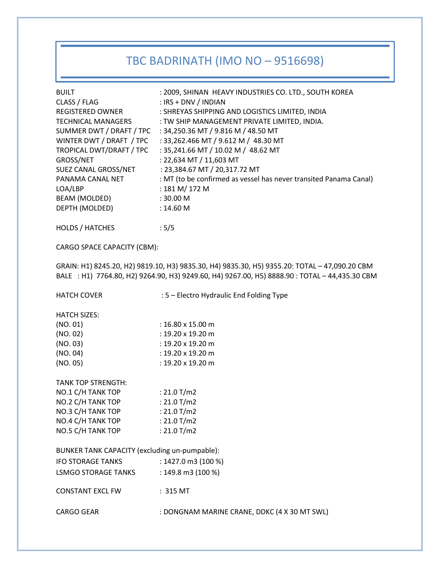# TBC BADRINATH (IMO NO – 9516698)

| <b>BUILT</b><br>CLASS / FLAG<br>REGISTERED OWNER<br><b>TECHNICAL MANAGERS</b><br>SUMMER DWT / DRAFT / TPC<br>WINTER DWT / DRAFT / TPC<br>TROPICAL DWT/DRAFT / TPC<br>GROSS/NET<br>SUEZ CANAL GROSS/NET<br>PANAMA CANAL NET<br>LOA/LBP<br>BEAM (MOLDED)<br>DEPTH (MOLDED) | : 2009, SHINAN HEAVY INDUSTRIES CO. LTD., SOUTH KOREA<br>: IRS + DNV / INDIAN<br>: SHREYAS SHIPPING AND LOGISTICS LIMITED, INDIA<br>: TW SHIP MANAGEMENT PRIVATE LIMITED, INDIA.<br>: 34,250.36 MT / 9.816 M / 48.50 MT<br>: 33,262.466 MT / 9.612 M / 48.30 MT<br>: 35,241.66 MT / 10.02 M / 48.62 MT<br>: 22,634 MT / 11,603 MT<br>: 23,384.67 MT / 20,317.72 MT<br>: MT (to be confirmed as vessel has never transited Panama Canal)<br>: 181 M/ 172 M<br>: 30.00 M<br>: 14.60 M |  |
|--------------------------------------------------------------------------------------------------------------------------------------------------------------------------------------------------------------------------------------------------------------------------|-------------------------------------------------------------------------------------------------------------------------------------------------------------------------------------------------------------------------------------------------------------------------------------------------------------------------------------------------------------------------------------------------------------------------------------------------------------------------------------|--|
| HOLDS / HATCHES                                                                                                                                                                                                                                                          | :5/5                                                                                                                                                                                                                                                                                                                                                                                                                                                                                |  |
| CARGO SPACE CAPACITY (CBM):                                                                                                                                                                                                                                              |                                                                                                                                                                                                                                                                                                                                                                                                                                                                                     |  |
| GRAIN: H1) 8245.20, H2) 9819.10, H3) 9835.30, H4) 9835.30, H5) 9355.20: TOTAL - 47,090.20 CBM<br>BALE : H1) 7764.80, H2) 9264.90, H3) 9249.60, H4) 9267.00, H5) 8888.90 : TOTAL - 44,435.30 CBM                                                                          |                                                                                                                                                                                                                                                                                                                                                                                                                                                                                     |  |
| <b>HATCH COVER</b>                                                                                                                                                                                                                                                       | : 5 - Electro Hydraulic End Folding Type                                                                                                                                                                                                                                                                                                                                                                                                                                            |  |
| <b>HATCH SIZES:</b>                                                                                                                                                                                                                                                      |                                                                                                                                                                                                                                                                                                                                                                                                                                                                                     |  |
| (NO. 01)                                                                                                                                                                                                                                                                 | : $16.80 \times 15.00 \text{ m}$                                                                                                                                                                                                                                                                                                                                                                                                                                                    |  |
| (NO. 02)                                                                                                                                                                                                                                                                 | : $19.20 \times 19.20$ m                                                                                                                                                                                                                                                                                                                                                                                                                                                            |  |
| (NO. 03)                                                                                                                                                                                                                                                                 | : $19.20 \times 19.20$ m                                                                                                                                                                                                                                                                                                                                                                                                                                                            |  |
| (NO. 04)                                                                                                                                                                                                                                                                 | : $19.20 \times 19.20$ m                                                                                                                                                                                                                                                                                                                                                                                                                                                            |  |
| (NO. 05)                                                                                                                                                                                                                                                                 | : 19.20 x 19.20 m                                                                                                                                                                                                                                                                                                                                                                                                                                                                   |  |
| <b>TANK TOP STRENGTH:</b>                                                                                                                                                                                                                                                |                                                                                                                                                                                                                                                                                                                                                                                                                                                                                     |  |
| NO.1 C/H TANK TOP                                                                                                                                                                                                                                                        | : $21.0$ T/m2                                                                                                                                                                                                                                                                                                                                                                                                                                                                       |  |
| NO.2 C/H TANK TOP                                                                                                                                                                                                                                                        | : $21.0$ T/m2                                                                                                                                                                                                                                                                                                                                                                                                                                                                       |  |
| NO.3 C/H TANK TOP                                                                                                                                                                                                                                                        | : $21.0$ T/m2                                                                                                                                                                                                                                                                                                                                                                                                                                                                       |  |
| NO.4 C/H TANK TOP                                                                                                                                                                                                                                                        | : $21.0$ T/m2                                                                                                                                                                                                                                                                                                                                                                                                                                                                       |  |
| NO.5 C/H TANK TOP                                                                                                                                                                                                                                                        | : $21.0$ T/m2                                                                                                                                                                                                                                                                                                                                                                                                                                                                       |  |
| BUNKER TANK CAPACITY (excluding un-pumpable):                                                                                                                                                                                                                            |                                                                                                                                                                                                                                                                                                                                                                                                                                                                                     |  |
| <b>IFO STORAGE TANKS</b>                                                                                                                                                                                                                                                 | : 1427.0 m3 (100 %)                                                                                                                                                                                                                                                                                                                                                                                                                                                                 |  |
| <b>LSMGO STORAGE TANKS</b>                                                                                                                                                                                                                                               | : 149.8 m3 (100 %)                                                                                                                                                                                                                                                                                                                                                                                                                                                                  |  |
| <b>CONSTANT EXCL FW</b>                                                                                                                                                                                                                                                  | : 315 MT                                                                                                                                                                                                                                                                                                                                                                                                                                                                            |  |
| <b>CARGO GEAR</b>                                                                                                                                                                                                                                                        | : DONGNAM MARINE CRANE, DDKC (4 X 30 MT SWL)                                                                                                                                                                                                                                                                                                                                                                                                                                        |  |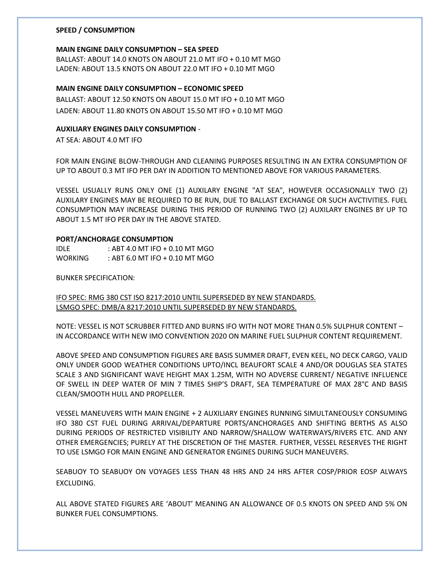# **SPEED / CONSUMPTION**

#### **MAIN ENGINE DAILY CONSUMPTION – SEA SPEED**

BALLAST: ABOUT 14.0 KNOTS ON ABOUT 21.0 MT IFO + 0.10 MT MGO LADEN: ABOUT 13.5 KNOTS ON ABOUT 22.0 MT IFO + 0.10 MT MGO

# **MAIN ENGINE DAILY CONSUMPTION – ECONOMIC SPEED**

BALLAST: ABOUT 12.50 KNOTS ON ABOUT 15.0 MT IFO + 0.10 MT MGO LADEN: ABOUT 11.80 KNOTS ON ABOUT 15.50 MT IFO + 0.10 MT MGO

## **AUXILIARY ENGINES DAILY CONSUMPTION** -

AT SEA: ABOUT 4.0 MT IFO

FOR MAIN ENGINE BLOW-THROUGH AND CLEANING PURPOSES RESULTING IN AN EXTRA CONSUMPTION OF UP TO ABOUT 0.3 MT IFO PER DAY IN ADDITION TO MENTIONED ABOVE FOR VARIOUS PARAMETERS.

VESSEL USUALLY RUNS ONLY ONE (1) AUXILARY ENGINE "AT SEA", HOWEVER OCCASIONALLY TWO (2) AUXILARY ENGINES MAY BE REQUIRED TO BE RUN, DUE TO BALLAST EXCHANGE OR SUCH AVCTIVITIES. FUEL CONSUMPTION MAY INCREASE DURING THIS PERIOD OF RUNNING TWO (2) AUXILARY ENGINES BY UP TO ABOUT 1.5 MT IFO PER DAY IN THE ABOVE STATED.

#### **PORT/ANCHORAGE CONSUMPTION**

| IDLE.          | : ABT 4.0 MT IFO + 0.10 MT MGO |
|----------------|--------------------------------|
| <b>WORKING</b> | : ABT 6.0 MT IFO + 0.10 MT MGO |

BUNKER SPECIFICATION:

IFO SPEC: RMG 380 CST ISO 8217:2010 UNTIL SUPERSEDED BY NEW STANDARDS. LSMGO SPEC: DMB/A 8217:2010 UNTIL SUPERSEDED BY NEW STANDARDS.

NOTE: VESSEL IS NOT SCRUBBER FITTED AND BURNS IFO WITH NOT MORE THAN 0.5% SULPHUR CONTENT – IN ACCORDANCE WITH NEW IMO CONVENTION 2020 ON MARINE FUEL SULPHUR CONTENT REQUIREMENT.

ABOVE SPEED AND CONSUMPTION FIGURES ARE BASIS SUMMER DRAFT, EVEN KEEL, NO DECK CARGO, VALID ONLY UNDER GOOD WEATHER CONDITIONS UPTO/INCL BEAUFORT SCALE 4 AND/OR DOUGLAS SEA STATES SCALE 3 AND SIGNIFICANT WAVE HEIGHT MAX 1.25M, WITH NO ADVERSE CURRENT/ NEGATIVE INFLUENCE OF SWELL IN DEEP WATER OF MIN 7 TIMES SHIP'S DRAFT, SEA TEMPERATURE OF MAX 28°C AND BASIS CLEAN/SMOOTH HULL AND PROPELLER.

VESSEL MANEUVERS WITH MAIN ENGINE + 2 AUXILIARY ENGINES RUNNING SIMULTANEOUSLY CONSUMING IFO 380 CST FUEL DURING ARRIVAL/DEPARTURE PORTS/ANCHORAGES AND SHIFTING BERTHS AS ALSO DURING PERIODS OF RESTRICTED VISIBILITY AND NARROW/SHALLOW WATERWAYS/RIVERS ETC. AND ANY OTHER EMERGENCIES; PURELY AT THE DISCRETION OF THE MASTER. FURTHER, VESSEL RESERVES THE RIGHT TO USE LSMGO FOR MAIN ENGINE AND GENERATOR ENGINES DURING SUCH MANEUVERS.

SEABUOY TO SEABUOY ON VOYAGES LESS THAN 48 HRS AND 24 HRS AFTER COSP/PRIOR EOSP ALWAYS EXCLUDING.

ALL ABOVE STATED FIGURES ARE 'ABOUT' MEANING AN ALLOWANCE OF 0.5 KNOTS ON SPEED AND 5% ON BUNKER FUEL CONSUMPTIONS.